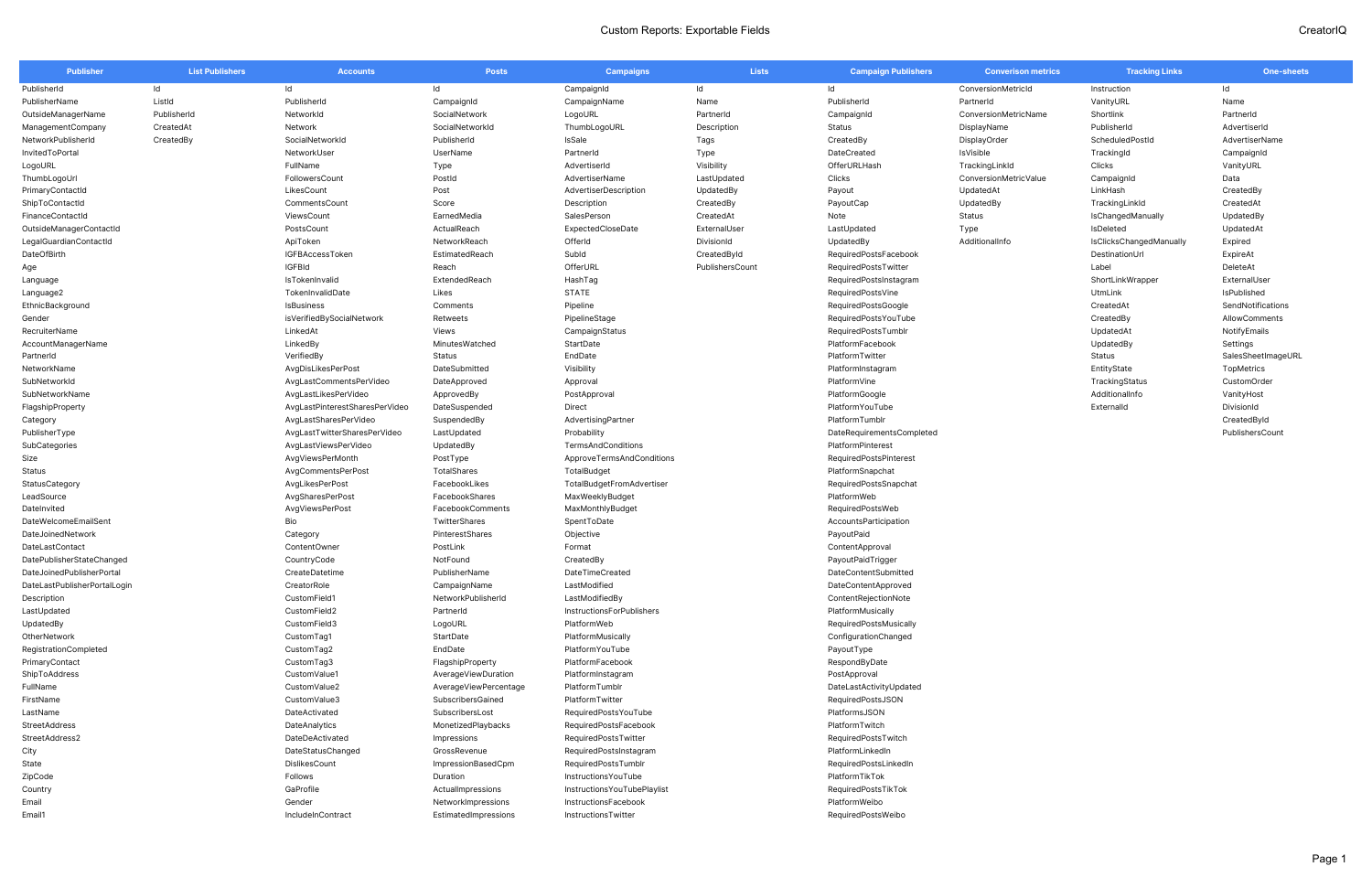| <b>Publisher</b>             | <b>List Publishers</b> | <b>Accounts</b>                | <b>Posts</b>          | <b>Campaigns</b>             | <b>Lists</b>    | <b>Campaign Publishers</b> | <b>Converison metrics</b> | <b>Tracking Links</b>          | <b>One-sheets</b>  |
|------------------------------|------------------------|--------------------------------|-----------------------|------------------------------|-----------------|----------------------------|---------------------------|--------------------------------|--------------------|
| PublisherId                  | ld                     | ld                             | ld                    | CampaignId                   | Id              | Id                         | ConversionMetricId        | Instruction                    | ld                 |
| PublisherName                | ListId                 | PublisherId                    | CampaignId            | CampaignName                 | Name            | PublisherId                | PartnerId                 | VanityURL                      | Name               |
| OutsideManagerName           | PublisherId            | NetworkId                      | SocialNetwork         | LogoURL                      | PartnerId       | CampaignId                 | ConversionMetricName      | Shortlink                      | PartnerId          |
| ManagementCompany            | CreatedAt              | Network                        | SocialNetworkId       | ThumbLogoURL                 | Description     | Status                     | DisplayName               | PublisherId                    | AdvertiserId       |
| NetworkPublisherId           | CreatedBy              | SocialNetworkId                | PublisherId           | IsSale                       | Tags            | CreatedBy                  | DisplayOrder              | ScheduledPostId                | AdvertiserName     |
| InvitedToPortal              |                        | NetworkUser                    | UserName              | PartnerId                    | Type            | DateCreated                | IsVisible                 | TrackingId                     | CampaignId         |
| LogoURL                      |                        | FullName                       | Type                  | AdvertiserId                 | Visibility      | OfferURLHash               | TrackingLinkId            | Clicks                         | VanityURL          |
| ThumbLogoUrl                 |                        | FollowersCount                 | Postld                | AdvertiserName               | LastUpdated     | Clicks                     | ConversionMetricValue     | CampaignId                     | Data               |
| PrimaryContactId             |                        | LikesCount                     | Post                  | AdvertiserDescription        | UpdatedBy       | Payout                     | UpdatedAt                 | LinkHash                       | CreatedBy          |
| ShipToContactId              |                        | CommentsCount                  | Score                 | Description                  | CreatedBy       | PayoutCap                  | UpdatedBy                 | TrackingLinkId                 | CreatedAt          |
| FinanceContactId             |                        | ViewsCount                     | EarnedMedia           | SalesPerson                  | CreatedAt       | Note                       | Status                    | IsChangedManually              | UpdatedBy          |
| OutsideManagerContactId      |                        | PostsCount                     | ActualReach           | ExpectedCloseDate            | ExternalUser    | LastUpdated                | Type                      | IsDeleted                      | UpdatedAt          |
| LegalGuardianContactId       |                        | ApiToken                       | NetworkReach          | OfferId                      | DivisionId      | UpdatedBy                  | AdditionalInfo            | <b>IsClicksChangedManually</b> | Expired            |
| DateOfBirth                  |                        | IGFBAccessToken                | EstimatedReach        | Subld                        | CreatedById     | RequiredPostsFacebook      |                           | DestinationUrl                 | ExpireAt           |
| Age                          |                        | <b>IGFBId</b>                  | Reach                 | OfferURL                     | PublishersCount | RequiredPostsTwitter       |                           | Label                          | DeleteAt           |
| Language                     |                        | IsTokenInvalid                 | ExtendedReach         | HashTag                      |                 | RequiredPostsInstagram     |                           | ShortLinkWrapper               | ExternalUser       |
| Language2                    |                        | TokenInvalidDate               | Likes                 | <b>STATE</b>                 |                 | RequiredPostsVine          |                           | UtmLink                        | IsPublished        |
| EthnicBackground             |                        | IsBusiness                     | Comments              | Pipeline                     |                 | RequiredPostsGoogle        |                           | CreatedAt                      | SendNotifications  |
|                              |                        | isVerifiedBySocialNetwork      | Retweets              | PipelineStage                |                 | RequiredPostsYouTube       |                           | CreatedBy                      | AllowComments      |
| Gender                       |                        |                                |                       |                              |                 |                            |                           |                                |                    |
| RecruiterName                |                        | LinkedAt                       | Views                 | CampaignStatus               |                 | RequiredPostsTumblr        |                           | UpdatedAt                      | NotifyEmails       |
| AccountManagerName           |                        | LinkedBy                       | MinutesWatched        | StartDate                    |                 | PlatformFacebook           |                           | UpdatedBy                      | Settings           |
| PartnerId                    |                        | VerifiedBy                     | Status                | EndDate                      |                 | PlatformTwitter            |                           | Status                         | SalesSheetImageURL |
| NetworkName                  |                        | AvgDisLikesPerPost             | DateSubmitted         | Visibility                   |                 | PlatformInstagram          |                           | EntityState                    | TopMetrics         |
| SubNetworkId                 |                        | AvgLastCommentsPerVideo        | DateApproved          | Approval                     |                 | PlatformVine               |                           | TrackingStatus                 | CustomOrder        |
| SubNetworkName               |                        | AvgLastLikesPerVideo           | ApprovedBy            | PostApproval                 |                 | PlatformGoogle             |                           | AdditionalInfo                 | VanityHost         |
| FlagshipProperty             |                        | AvgLastPinterestSharesPerVideo | DateSuspended         | Direct                       |                 | PlatformYouTube            |                           | Externalld                     | DivisionId         |
| Category                     |                        | AvgLastSharesPerVideo          | SuspendedBy           | AdvertisingPartner           |                 | PlatformTumblr             |                           |                                | CreatedById        |
| PublisherType                |                        | AvgLastTwitterSharesPerVideo   | LastUpdated           | Probability                  |                 | DateRequirementsCompleted  |                           |                                | PublishersCount    |
| SubCategories                |                        | AvgLastViewsPerVideo           | UpdatedBy             | TermsAndConditions           |                 | PlatformPinterest          |                           |                                |                    |
| Size                         |                        | AvgViewsPerMonth               | PostType              | ApproveTermsAndConditions    |                 | RequiredPostsPinterest     |                           |                                |                    |
| Status                       |                        | AvgCommentsPerPost             | TotalShares           | TotalBudget                  |                 | PlatformSnapchat           |                           |                                |                    |
| StatusCategory               |                        | AvgLikesPerPost                | FacebookLikes         | TotalBudgetFromAdvertiser    |                 | RequiredPostsSnapchat      |                           |                                |                    |
| LeadSource                   |                        | AvgSharesPerPost               | FacebookShares        | MaxWeeklyBudget              |                 | PlatformWeb                |                           |                                |                    |
| Datelnvited                  |                        | AvgViewsPerPost                | FacebookComments      | MaxMonthlyBudget             |                 | RequiredPostsWeb           |                           |                                |                    |
| DateWelcomeEmailSent         |                        | Bio                            | TwitterShares         | SpentToDate                  |                 | AccountsParticipation      |                           |                                |                    |
| DateJoinedNetwork            |                        | Category                       | PinterestShares       | Objective                    |                 | PayoutPaid                 |                           |                                |                    |
| DateLastContact              |                        | ContentOwner                   | PostLink              | Format                       |                 | ContentApproval            |                           |                                |                    |
| DatePublisherStateChanged    |                        | CountryCode                    | NotFound              | CreatedBy                    |                 | PayoutPaidTrigger          |                           |                                |                    |
| DateJoinedPublisherPortal    |                        | CreateDatetime                 | PublisherName         | DateTimeCreated              |                 | DateContentSubmitted       |                           |                                |                    |
| DateLastPublisherPortalLogin |                        | CreatorRole                    | CampaignName          | LastModified                 |                 | DateContentApproved        |                           |                                |                    |
| Description                  |                        | CustomField1                   | NetworkPublisherId    | LastModifiedBy               |                 | ContentRejectionNote       |                           |                                |                    |
| LastUpdated                  |                        | CustomField2                   | PartnerId             | InstructionsForPublishers    |                 | PlatformMusically          |                           |                                |                    |
| UpdatedBy                    |                        | CustomField3                   | LogoURL               | PlatformWeb                  |                 | RequiredPostsMusically     |                           |                                |                    |
| OtherNetwork                 |                        | CustomTag1                     | StartDate             | PlatformMusically            |                 | ConfigurationChanged       |                           |                                |                    |
| RegistrationCompleted        |                        | CustomTag2                     | EndDate               | PlatformYouTube              |                 | PayoutType                 |                           |                                |                    |
| PrimaryContact               |                        | CustomTag3                     | FlagshipProperty      | PlatformFacebook             |                 | RespondByDate              |                           |                                |                    |
| ShipToAddress                |                        | CustomValue1                   | AverageViewDuration   | PlatformInstagram            |                 | PostApproval               |                           |                                |                    |
| FullName                     |                        | CustomValue2                   | AverageViewPercentage | PlatformTumblr               |                 | DateLastActivityUpdated    |                           |                                |                    |
| FirstName                    |                        | CustomValue3                   | SubscribersGained     | PlatformTwitter              |                 | RequiredPostsJSON          |                           |                                |                    |
| LastName                     |                        | DateActivated                  | SubscribersLost       | RequiredPostsYouTube         |                 | PlatformsJSON              |                           |                                |                    |
| StreetAddress                |                        | DateAnalytics                  | MonetizedPlaybacks    | RequiredPostsFacebook        |                 | PlatformTwitch             |                           |                                |                    |
| StreetAddress2               |                        | DateDeActivated                | Impressions           | RequiredPostsTwitter         |                 | RequiredPostsTwitch        |                           |                                |                    |
| City                         |                        | DateStatusChanged              | GrossRevenue          | RequiredPostsInstagram       |                 | PlatformLinkedIn           |                           |                                |                    |
| State                        |                        | DislikesCount                  | ImpressionBasedCpm    | RequiredPostsTumblr          |                 | RequiredPostsLinkedIn      |                           |                                |                    |
| ZipCode                      |                        | Follows                        | Duration              | InstructionsYouTube          |                 | PlatformTikTok             |                           |                                |                    |
| Country                      |                        | GaProfile                      | ActualImpressions     | Instructions YouTubePlaylist |                 | RequiredPostsTikTok        |                           |                                |                    |
| Email                        |                        | Gender                         | NetworkImpressions    | InstructionsFacebook         |                 | PlatformWeibo              |                           |                                |                    |
| Email1                       |                        | IncludeInContract              | EstimatedImpressions  | InstructionsTwitter          |                 | RequiredPostsWeibo         |                           |                                |                    |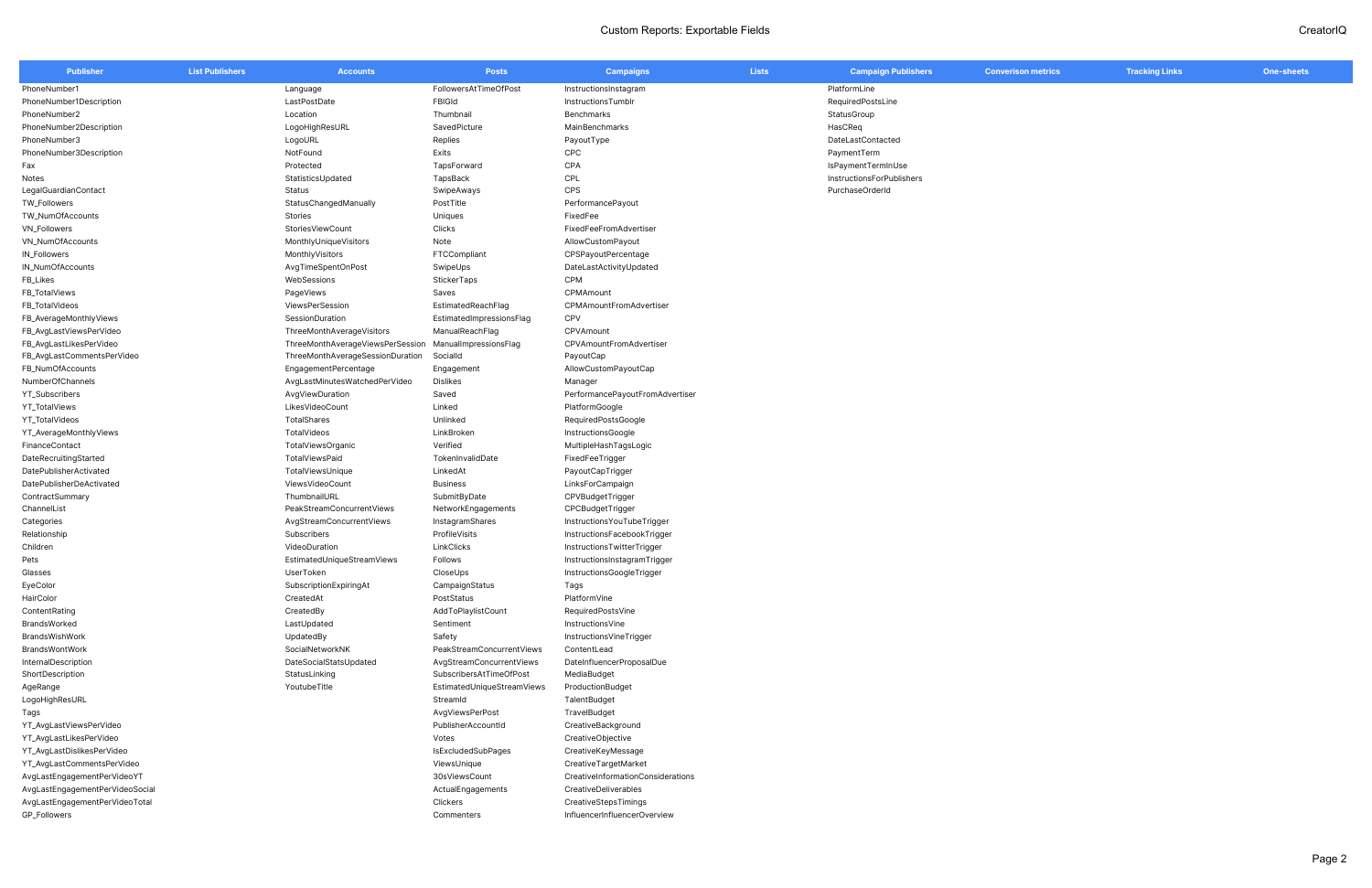| <b>Publisher</b>                | <b>List Publishers</b> | <b>Accounts</b>                  | <b>Posts</b>               | <b>Campaigns</b>                  | <b>Lists</b> | <b>Campaign Publishers</b> | <b>Converison metrics</b> | <b>Tracking Links</b> | One-sheets |
|---------------------------------|------------------------|----------------------------------|----------------------------|-----------------------------------|--------------|----------------------------|---------------------------|-----------------------|------------|
| PhoneNumber1                    |                        | Language                         | FollowersAtTimeOfPost      | InstructionsInstagram             |              | PlatformLine               |                           |                       |            |
| PhoneNumber1Description         |                        | LastPostDate                     | <b>FBIGId</b>              | InstructionsTumblr                |              | RequiredPostsLine          |                           |                       |            |
| PhoneNumber2                    |                        | Location                         | Thumbnail                  | Benchmarks                        |              | StatusGroup                |                           |                       |            |
| PhoneNumber2Description         |                        | LogoHighResURL                   | SavedPicture               | MainBenchmarks                    |              | HasCReg                    |                           |                       |            |
| PhoneNumber3                    |                        | LogoURL                          | Replies                    | PayoutType                        |              | DateLastContacted          |                           |                       |            |
| PhoneNumber3Description         |                        | NotFound                         | Exits                      | <b>CPC</b>                        |              | PaymentTerm                |                           |                       |            |
| Fax                             |                        | Protected                        | TapsForward                | CPA                               |              | IsPaymentTermInUse         |                           |                       |            |
| Notes                           |                        | StatisticsUpdated                | TapsBack                   | CPL                               |              | InstructionsForPublishers  |                           |                       |            |
| LegalGuardianContact            |                        | Status                           | SwipeAways                 | CPS                               |              | PurchaseOrderId            |                           |                       |            |
| TW_Followers                    |                        | StatusChangedManually            | PostTitle                  | PerformancePayout                 |              |                            |                           |                       |            |
| TW_NumOfAccounts                |                        | Stories                          | Uniques                    | FixedFee                          |              |                            |                           |                       |            |
| VN_Followers                    |                        | StoriesViewCount                 | Clicks                     | FixedFeeFromAdvertiser            |              |                            |                           |                       |            |
| VN_NumOfAccounts                |                        | MonthlyUniqueVisitors            | Note                       | AllowCustomPayout                 |              |                            |                           |                       |            |
| IN_Followers                    |                        | MonthlyVisitors                  | FTCCompliant               | CPSPayoutPercentage               |              |                            |                           |                       |            |
| IN_NumOfAccounts                |                        | AvgTimeSpentOnPost               | SwipeUps                   | DateLastActivityUpdated           |              |                            |                           |                       |            |
| FB_Likes                        |                        | WebSessions                      | <b>StickerTaps</b>         | CPM                               |              |                            |                           |                       |            |
| FB_TotalViews                   |                        | PageViews                        | Saves                      | CPMAmount                         |              |                            |                           |                       |            |
| FB_TotalVideos                  |                        | ViewsPerSession                  | EstimatedReachFlag         | CPMAmountFromAdvertiser           |              |                            |                           |                       |            |
| FB_AverageMonthlyViews          |                        | SessionDuration                  | EstimatedImpressionsFlag   | CPV                               |              |                            |                           |                       |            |
| FB_AvgLastViewsPerVideo         |                        | ThreeMonthAverageVisitors        | ManualReachFlag            | CPVAmount                         |              |                            |                           |                       |            |
| FB_AvgLastLikesPerVideo         |                        | ThreeMonthAverageViewsPerSession | ManualImpressionsFlag      | CPVAmountFromAdvertiser           |              |                            |                           |                       |            |
| FB_AvgLastCommentsPerVideo      |                        | ThreeMonthAverageSessionDuration | SocialId                   | PayoutCap                         |              |                            |                           |                       |            |
| FB_NumOfAccounts                |                        | EngagementPercentage             | Engagement                 | AllowCustomPayoutCap              |              |                            |                           |                       |            |
| NumberOfChannels                |                        | AvgLastMinutesWatchedPerVideo    | <b>Dislikes</b>            | Manager                           |              |                            |                           |                       |            |
| YT_Subscribers                  |                        | AvgViewDuration                  | Saved                      | PerformancePayoutFromAdvertiser   |              |                            |                           |                       |            |
| YT_TotalViews                   |                        | LikesVideoCount                  | Linked                     | PlatformGoogle                    |              |                            |                           |                       |            |
| YT_TotalVideos                  |                        | TotalShares                      | Unlinked                   | RequiredPostsGoogle               |              |                            |                           |                       |            |
| YT_AverageMonthlyViews          |                        | TotalVideos                      | LinkBroken                 | InstructionsGoogle                |              |                            |                           |                       |            |
| FinanceContact                  |                        | TotalViewsOrganic                | Verified                   | MultipleHashTagsLogic             |              |                            |                           |                       |            |
| DateRecruitingStarted           |                        | TotalViewsPaid                   | TokenInvalidDate           | FixedFeeTrigger                   |              |                            |                           |                       |            |
| DatePublisherActivated          |                        | TotalViewsUnique                 | LinkedAt                   | PayoutCapTrigger                  |              |                            |                           |                       |            |
| DatePublisherDeActivated        |                        | ViewsVideoCount                  | <b>Business</b>            | LinksForCampaign                  |              |                            |                           |                       |            |
| ContractSummary                 |                        | ThumbnailURL                     | SubmitByDate               | CPVBudgetTrigger                  |              |                            |                           |                       |            |
| ChannelList                     |                        | PeakStreamConcurrentViews        | NetworkEngagements         | CPCBudgetTrigger                  |              |                            |                           |                       |            |
| Categories                      |                        | AvgStreamConcurrentViews         | InstagramShares            | Instructions You Tube Trigger     |              |                            |                           |                       |            |
| Relationship                    |                        | Subscribers                      | ProfileVisits              | InstructionsFacebookTrigger       |              |                            |                           |                       |            |
| Children                        |                        | VideoDuration                    | LinkClicks                 | InstructionsTwitterTrigger        |              |                            |                           |                       |            |
| Pets                            |                        | EstimatedUniqueStreamViews       | Follows                    | InstructionsInstagramTrigger      |              |                            |                           |                       |            |
| Glasses                         |                        | UserToken                        | CloseUps                   | InstructionsGoogleTrigger         |              |                            |                           |                       |            |
| EyeColor                        |                        | SubscriptionExpiringAt           | CampaignStatus             | Tags                              |              |                            |                           |                       |            |
| HairColor                       |                        | CreatedAt                        | PostStatus                 | PlatformVine                      |              |                            |                           |                       |            |
| ContentRating                   |                        | CreatedBy                        | AddToPlaylistCount         | RequiredPostsVine                 |              |                            |                           |                       |            |
| BrandsWorked                    |                        | LastUpdated                      | Sentiment                  | InstructionsVine                  |              |                            |                           |                       |            |
| BrandsWishWork                  |                        | UpdatedBy                        | Safety                     | InstructionsVineTrigger           |              |                            |                           |                       |            |
| BrandsWontWork                  |                        | SocialNetworkNK                  | PeakStreamConcurrentViews  | ContentLead                       |              |                            |                           |                       |            |
| InternalDescription             |                        | DateSocialStatsUpdated           | AvgStreamConcurrentViews   | DateInfluencerProposalDue         |              |                            |                           |                       |            |
| ShortDescription                |                        | StatusLinking                    | SubscribersAtTimeOfPost    | MediaBudget                       |              |                            |                           |                       |            |
| AgeRange                        |                        | YoutubeTitle                     | EstimatedUniqueStreamViews | ProductionBudget                  |              |                            |                           |                       |            |
| LogoHighResURL                  |                        |                                  | StreamId                   | TalentBudget                      |              |                            |                           |                       |            |
| Tags                            |                        |                                  | AvgViewsPerPost            | TravelBudget                      |              |                            |                           |                       |            |
| YT_AvgLastViewsPerVideo         |                        |                                  | PublisherAccountId         | CreativeBackground                |              |                            |                           |                       |            |
| YT_AvgLastLikesPerVideo         |                        |                                  | Votes                      | CreativeObjective                 |              |                            |                           |                       |            |
| YT_AvgLastDislikesPerVideo      |                        |                                  | IsExcludedSubPages         | CreativeKeyMessage                |              |                            |                           |                       |            |
| YT_AvgLastCommentsPerVideo      |                        |                                  | ViewsUnique                | CreativeTargetMarket              |              |                            |                           |                       |            |
| AvgLastEngagementPerVideoYT     |                        |                                  | 30sViewsCount              | CreativeInformationConsiderations |              |                            |                           |                       |            |
| AvgLastEngagementPerVideoSocial |                        |                                  | ActualEngagements          | CreativeDeliverables              |              |                            |                           |                       |            |
| AvgLastEngagementPerVideoTotal  |                        |                                  | Clickers                   | CreativeStepsTimings              |              |                            |                           |                       |            |
| GP_Followers                    |                        |                                  | Commenters                 | InfluencerInfluencerOverview      |              |                            |                           |                       |            |
|                                 |                        |                                  |                            |                                   |              |                            |                           |                       |            |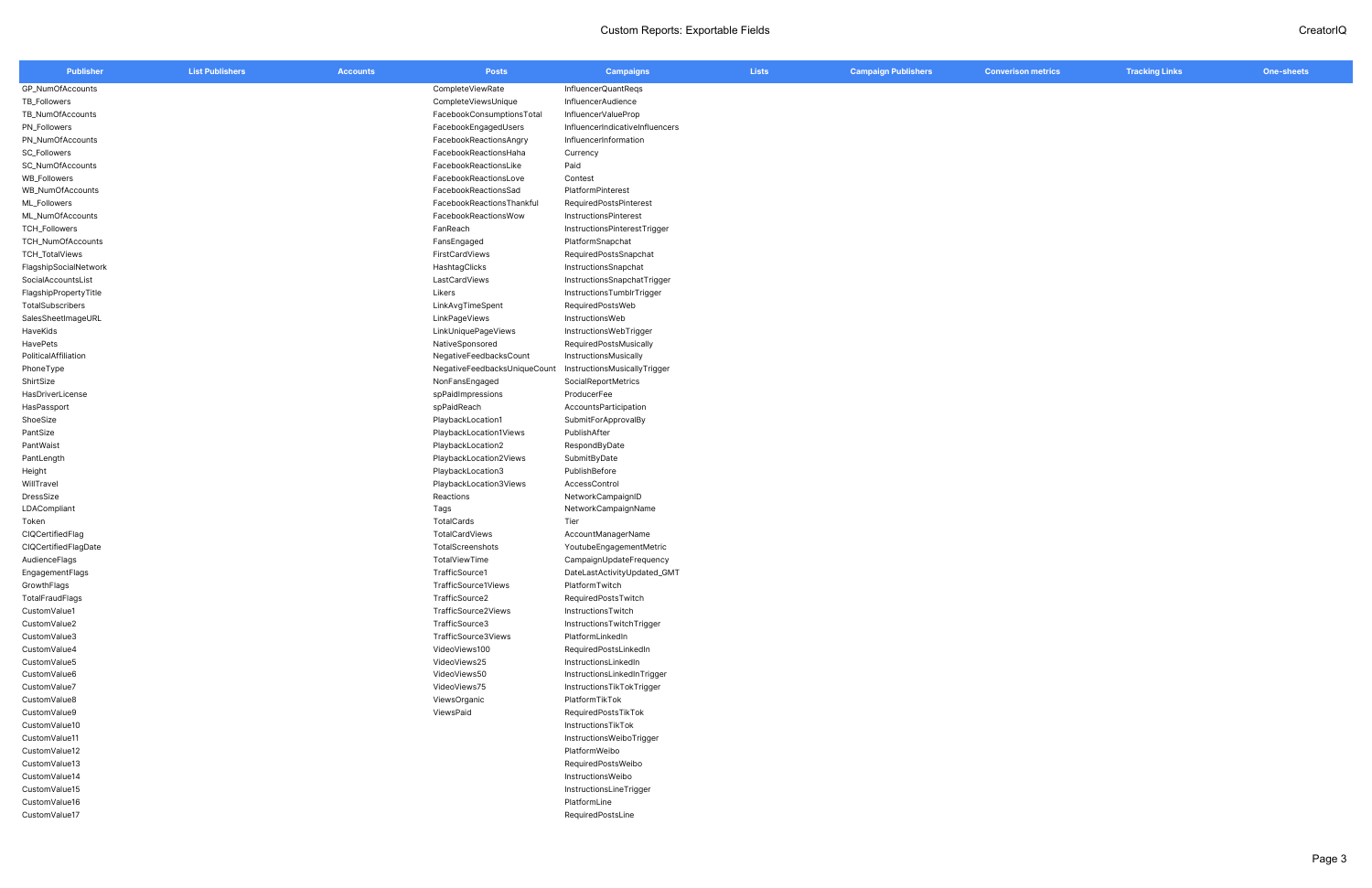| <b>Publisher</b>            | <b>List Publishers</b> | <b>Accounts</b> | <b>Posts</b>                 | <b>Campaigns</b>                | <b>Lists</b> | <b>Campaign Publishers</b> | <b>Converison metrics</b> | <b>Tracking Links</b> | One-sheets |
|-----------------------------|------------------------|-----------------|------------------------------|---------------------------------|--------------|----------------------------|---------------------------|-----------------------|------------|
| GP_NumOfAccounts            |                        |                 | CompleteViewRate             | InfluencerQuantRegs             |              |                            |                           |                       |            |
| TB_Followers                |                        |                 | CompleteViewsUnique          | InfluencerAudience              |              |                            |                           |                       |            |
| TB_NumOfAccounts            |                        |                 | FacebookConsumptionsTotal    | InfluencerValueProp             |              |                            |                           |                       |            |
| PN_Followers                |                        |                 | FacebookEngagedUsers         | InfluencerIndicativeInfluencers |              |                            |                           |                       |            |
| PN_NumOfAccounts            |                        |                 | FacebookReactionsAngry       | InfluencerInformation           |              |                            |                           |                       |            |
| <b>SC_Followers</b>         |                        |                 | FacebookReactionsHaha        | Currency                        |              |                            |                           |                       |            |
| SC_NumOfAccounts            |                        |                 | FacebookReactionsLike        | Paid                            |              |                            |                           |                       |            |
| <b>WB_Followers</b>         |                        |                 | FacebookReactionsLove        | Contest                         |              |                            |                           |                       |            |
| WB_NumOfAccounts            |                        |                 | FacebookReactionsSad         | PlatformPinterest               |              |                            |                           |                       |            |
| ML_Followers                |                        |                 | FacebookReactionsThankful    | RequiredPostsPinterest          |              |                            |                           |                       |            |
| ML_NumOfAccounts            |                        |                 | FacebookReactionsWow         | InstructionsPinterest           |              |                            |                           |                       |            |
| TCH_Followers               |                        |                 | FanReach                     | InstructionsPinterestTrigger    |              |                            |                           |                       |            |
| TCH_NumOfAccounts           |                        |                 | FansEngaged                  | PlatformSnapchat                |              |                            |                           |                       |            |
| TCH_TotalViews              |                        |                 | FirstCardViews               | RequiredPostsSnapchat           |              |                            |                           |                       |            |
| FlagshipSocialNetwork       |                        |                 | HashtagClicks                | InstructionsSnapchat            |              |                            |                           |                       |            |
| SocialAccountsList          |                        |                 | LastCardViews                | InstructionsSnapchatTrigger     |              |                            |                           |                       |            |
| FlagshipPropertyTitle       |                        |                 | Likers                       | InstructionsTumblrTrigger       |              |                            |                           |                       |            |
| TotalSubscribers            |                        |                 | LinkAvgTimeSpent             | RequiredPostsWeb                |              |                            |                           |                       |            |
| SalesSheetImageURL          |                        |                 | LinkPageViews                | InstructionsWeb                 |              |                            |                           |                       |            |
| HaveKids                    |                        |                 | LinkUniquePageViews          | InstructionsWebTrigger          |              |                            |                           |                       |            |
| HavePets                    |                        |                 | NativeSponsored              | RequiredPostsMusically          |              |                            |                           |                       |            |
| PoliticalAffiliation        |                        |                 | NegativeFeedbacksCount       | InstructionsMusically           |              |                            |                           |                       |            |
| PhoneType                   |                        |                 | NegativeFeedbacksUniqueCount | InstructionsMusicallyTrigger    |              |                            |                           |                       |            |
| ShirtSize                   |                        |                 | NonFansEngaged               | SocialReportMetrics             |              |                            |                           |                       |            |
| HasDriverLicense            |                        |                 | spPaidImpressions            | ProducerFee                     |              |                            |                           |                       |            |
| HasPassport                 |                        |                 | spPaidReach                  | AccountsParticipation           |              |                            |                           |                       |            |
| ShoeSize                    |                        |                 | PlaybackLocation1            | SubmitForApprovalBy             |              |                            |                           |                       |            |
| PantSize                    |                        |                 | PlaybackLocation1Views       | PublishAfter                    |              |                            |                           |                       |            |
| PantWaist                   |                        |                 | PlaybackLocation2            | RespondByDate                   |              |                            |                           |                       |            |
| PantLength                  |                        |                 | PlaybackLocation2Views       | SubmitByDate                    |              |                            |                           |                       |            |
| Height                      |                        |                 | PlaybackLocation3            | PublishBefore                   |              |                            |                           |                       |            |
| WillTravel                  |                        |                 | PlaybackLocation3Views       | AccessControl                   |              |                            |                           |                       |            |
| DressSize                   |                        |                 | Reactions                    | NetworkCampaignID               |              |                            |                           |                       |            |
| LDACompliant                |                        |                 | Tags                         | NetworkCampaignName             |              |                            |                           |                       |            |
| Token                       |                        |                 | TotalCards                   | Tier                            |              |                            |                           |                       |            |
| CIQCertifiedFlag            |                        |                 | TotalCardViews               | AccountManagerName              |              |                            |                           |                       |            |
| <b>CIQCertifiedFlagDate</b> |                        |                 | TotalScreenshots             | YoutubeEngagementMetric         |              |                            |                           |                       |            |
| AudienceFlags               |                        |                 | TotalViewTime                | CampaignUpdateFrequency         |              |                            |                           |                       |            |
| EngagementFlags             |                        |                 | TrafficSource1               | DateLastActivityUpdated_GMT     |              |                            |                           |                       |            |
| GrowthFlags                 |                        |                 | TrafficSource1Views          | PlatformTwitch                  |              |                            |                           |                       |            |
| TotalFraudFlags             |                        |                 | TrafficSource2               | RequiredPostsTwitch             |              |                            |                           |                       |            |
| CustomValue1                |                        |                 | TrafficSource2Views          | InstructionsTwitch              |              |                            |                           |                       |            |
| CustomValue2                |                        |                 | TrafficSource3               | InstructionsTwitchTrigger       |              |                            |                           |                       |            |
| CustomValue3                |                        |                 | TrafficSource3Views          | PlatformLinkedIn                |              |                            |                           |                       |            |
| CustomValue4                |                        |                 | VideoViews100                | RequiredPostsLinkedIn           |              |                            |                           |                       |            |
| CustomValue5                |                        |                 | VideoViews25                 | InstructionsLinkedIn            |              |                            |                           |                       |            |
| CustomValue6                |                        |                 | VideoViews50                 | InstructionsLinkedInTrigger     |              |                            |                           |                       |            |
| CustomValue7                |                        |                 | VideoViews75                 | InstructionsTikTokTrigger       |              |                            |                           |                       |            |
| CustomValue8                |                        |                 | ViewsOrganic                 | PlatformTikTok                  |              |                            |                           |                       |            |
| CustomValue9                |                        |                 | ViewsPaid                    | RequiredPostsTikTok             |              |                            |                           |                       |            |
| CustomValue10               |                        |                 |                              | InstructionsTikTok              |              |                            |                           |                       |            |
| CustomValue11               |                        |                 |                              | InstructionsWeiboTrigger        |              |                            |                           |                       |            |
| CustomValue12               |                        |                 |                              | PlatformWeibo                   |              |                            |                           |                       |            |
| CustomValue13               |                        |                 |                              | RequiredPostsWeibo              |              |                            |                           |                       |            |
| CustomValue14               |                        |                 |                              | InstructionsWeibo               |              |                            |                           |                       |            |
| CustomValue15               |                        |                 |                              | InstructionsLineTrigger         |              |                            |                           |                       |            |
| CustomValue16               |                        |                 |                              | PlatformLine                    |              |                            |                           |                       |            |
| CustomValue17               |                        |                 |                              | RequiredPostsLine               |              |                            |                           |                       |            |
|                             |                        |                 |                              |                                 |              |                            |                           |                       |            |